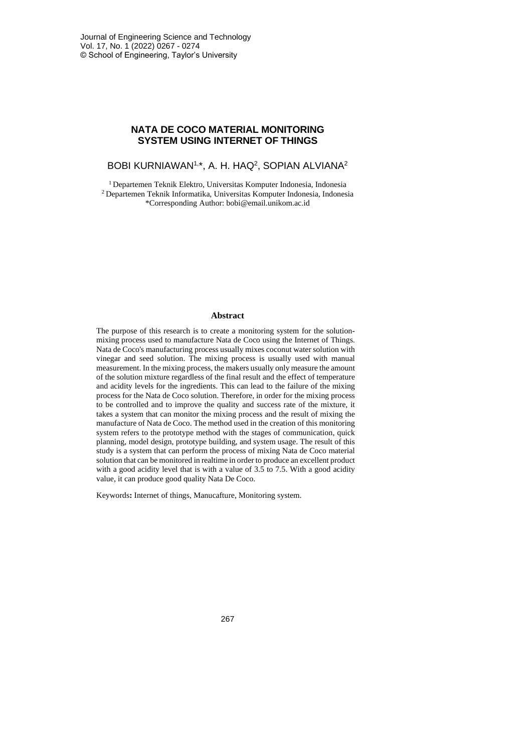## **NATA DE COCO MATERIAL MONITORING SYSTEM USING INTERNET OF THINGS**

## BOBI KURNIAWAN<sup>1,</sup>\*, A. H. HAQ<sup>2</sup>, SOPIAN ALVIANA<sup>2</sup>

<sup>1</sup> Departemen Teknik Elektro, Universitas Komputer Indonesia, Indonesia <sup>2</sup> Departemen Teknik Informatika, Universitas Komputer Indonesia, Indonesia \*Corresponding Author: bobi@email.unikom.ac.id

### **Abstract**

The purpose of this research is to create a monitoring system for the solutionmixing process used to manufacture Nata de Coco using the Internet of Things. Nata de Coco's manufacturing process usually mixes coconut water solution with vinegar and seed solution. The mixing process is usually used with manual measurement. In the mixing process, the makers usually only measure the amount of the solution mixture regardless of the final result and the effect of temperature and acidity levels for the ingredients. This can lead to the failure of the mixing process for the Nata de Coco solution. Therefore, in order for the mixing process to be controlled and to improve the quality and success rate of the mixture, it takes a system that can monitor the mixing process and the result of mixing the manufacture of Nata de Coco. The method used in the creation of this monitoring system refers to the prototype method with the stages of communication, quick planning, model design, prototype building, and system usage. The result of this study is a system that can perform the process of mixing Nata de Coco material solution that can be monitored in realtime in order to produce an excellent product with a good acidity level that is with a value of 3.5 to 7.5. With a good acidity value, it can produce good quality Nata De Coco.

Keywords**:** Internet of things, Manucafture, Monitoring system.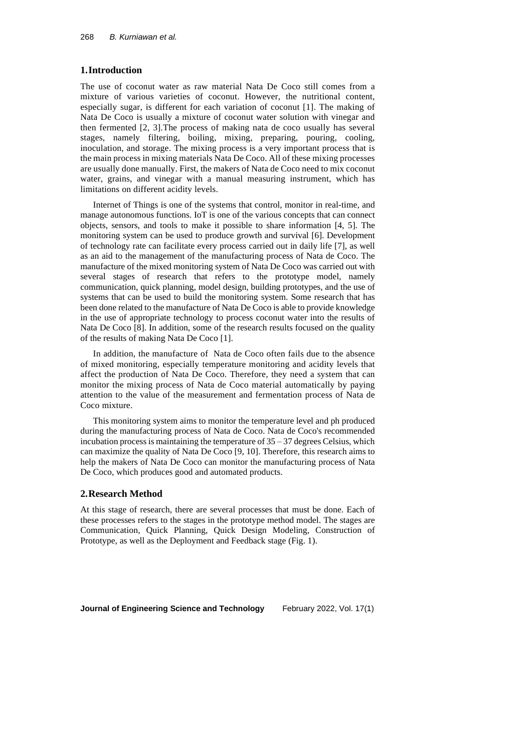### **1.Introduction**

The use of coconut water as raw material Nata De Coco still comes from a mixture of various varieties of coconut. However, the nutritional content, especially sugar, is different for each variation of coconut [1]. The making of Nata De Coco is usually a mixture of coconut water solution with vinegar and then fermented [2, 3].The process of making nata de coco usually has several stages, namely filtering, boiling, mixing, preparing, pouring, cooling, inoculation, and storage. The mixing process is a very important process that is the main process in mixing materials Nata De Coco. All of these mixing processes are usually done manually. First, the makers of Nata de Coco need to mix coconut water, grains, and vinegar with a manual measuring instrument, which has limitations on different acidity levels.

Internet of Things is one of the systems that control, monitor in real-time, and manage autonomous functions. IoT is one of the various concepts that can connect objects, sensors, and tools to make it possible to share information [4, 5]. The monitoring system can be used to produce growth and survival [6]. Development of technology rate can facilitate every process carried out in daily life [7], as well as an aid to the management of the manufacturing process of Nata de Coco. The manufacture of the mixed monitoring system of Nata De Coco was carried out with several stages of research that refers to the prototype model, namely communication, quick planning, model design, building prototypes, and the use of systems that can be used to build the monitoring system. Some research that has been done related to the manufacture of Nata De Coco is able to provide knowledge in the use of appropriate technology to process coconut water into the results of Nata De Coco [8]. In addition, some of the research results focused on the quality of the results of making Nata De Coco [1].

In addition, the manufacture of Nata de Coco often fails due to the absence of mixed monitoring, especially temperature monitoring and acidity levels that affect the production of Nata De Coco. Therefore, they need a system that can monitor the mixing process of Nata de Coco material automatically by paying attention to the value of the measurement and fermentation process of Nata de Coco mixture.

This monitoring system aims to monitor the temperature level and ph produced during the manufacturing process of Nata de Coco. Nata de Coco's recommended incubation process is maintaining the temperature of  $35 - 37$  degrees Celsius, which can maximize the quality of Nata De Coco [9, 10]. Therefore, this research aims to help the makers of Nata De Coco can monitor the manufacturing process of Nata De Coco, which produces good and automated products.

### **2.Research Method**

At this stage of research, there are several processes that must be done. Each of these processes refers to the stages in the prototype method model. The stages are Communication, Quick Planning, Quick Design Modeling, Construction of Prototype, as well as the Deployment and Feedback stage (Fig. 1).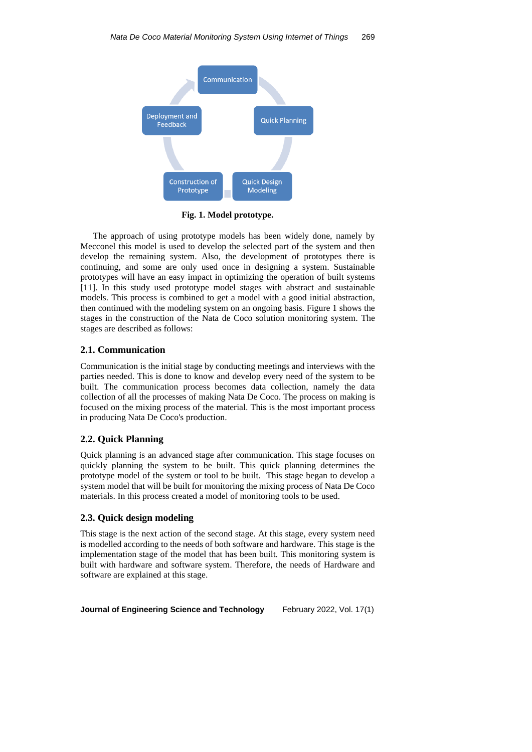

**Fig. 1. Model prototype.**

The approach of using prototype models has been widely done, namely by Mecconel this model is used to develop the selected part of the system and then develop the remaining system. Also, the development of prototypes there is continuing, and some are only used once in designing a system. Sustainable prototypes will have an easy impact in optimizing the operation of built systems [11]. In this study used prototype model stages with abstract and sustainable models. This process is combined to get a model with a good initial abstraction, then continued with the modeling system on an ongoing basis. Figure 1 shows the stages in the construction of the Nata de Coco solution monitoring system. The stages are described as follows:

### **2.1. Communication**

Communication is the initial stage by conducting meetings and interviews with the parties needed. This is done to know and develop every need of the system to be built. The communication process becomes data collection, namely the data collection of all the processes of making Nata De Coco. The process on making is focused on the mixing process of the material. This is the most important process in producing Nata De Coco's production.

## **2.2. Quick Planning**

Quick planning is an advanced stage after communication. This stage focuses on quickly planning the system to be built. This quick planning determines the prototype model of the system or tool to be built. This stage began to develop a system model that will be built for monitoring the mixing process of Nata De Coco materials. In this process created a model of monitoring tools to be used.

## **2.3. Quick design modeling**

This stage is the next action of the second stage. At this stage, every system need is modelled according to the needs of both software and hardware. This stage is the implementation stage of the model that has been built. This monitoring system is built with hardware and software system. Therefore, the needs of Hardware and software are explained at this stage.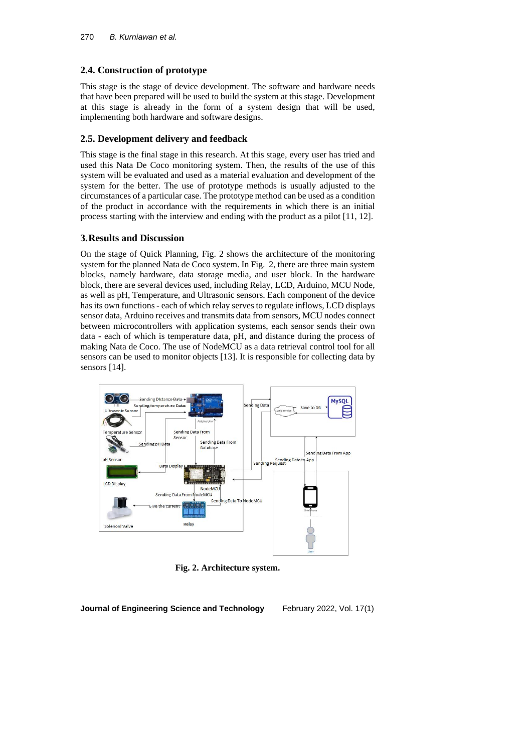# **2.4. Construction of prototype**

This stage is the stage of device development. The software and hardware needs that have been prepared will be used to build the system at this stage. Development at this stage is already in the form of a system design that will be used, implementing both hardware and software designs.

# **2.5. Development delivery and feedback**

This stage is the final stage in this research. At this stage, every user has tried and used this Nata De Coco monitoring system. Then, the results of the use of this system will be evaluated and used as a material evaluation and development of the system for the better. The use of prototype methods is usually adjusted to the circumstances of a particular case. The prototype method can be used as a condition of the product in accordance with the requirements in which there is an initial process starting with the interview and ending with the product as a pilot [11, 12].

## **3.Results and Discussion**

On the stage of Quick Planning, Fig. 2 shows the architecture of the monitoring system for the planned Nata de Coco system. In Fig. 2, there are three main system blocks, namely hardware, data storage media, and user block. In the hardware block, there are several devices used, including Relay, LCD, Arduino, MCU Node, as well as pH, Temperature, and Ultrasonic sensors. Each component of the device has its own functions- each of which relay serves to regulate inflows, LCD displays sensor data, Arduino receives and transmits data from sensors, MCU nodes connect between microcontrollers with application systems, each sensor sends their own data - each of which is temperature data, pH, and distance during the process of making Nata de Coco. The use of NodeMCU as a data retrieval control tool for all sensors can be used to monitor objects [13]. It is responsible for collecting data by sensors [14].



**Fig. 2. Architecture system.**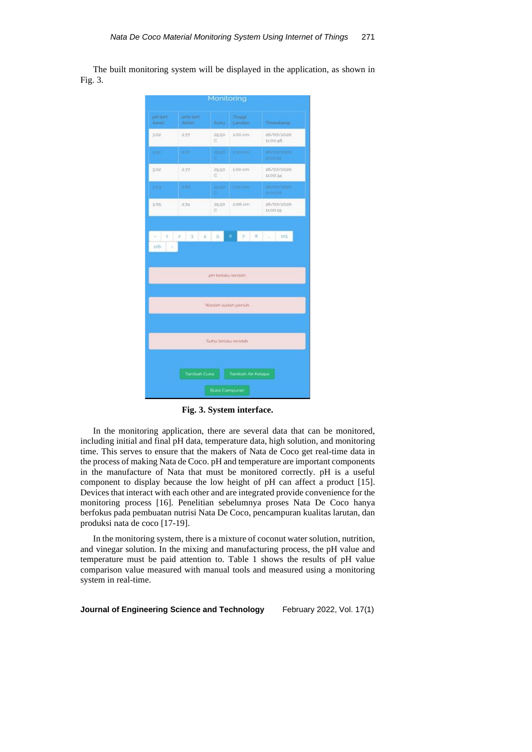The built monitoring system will be displayed in the application, as shown in Fig. 3.



**Fig. 3. System interface.**

In the monitoring application, there are several data that can be monitored, including initial and final pH data, temperature data, high solution, and monitoring time. This serves to ensure that the makers of Nata de Coco get real-time data in the process of making Nata de Coco. pH and temperature are important components in the manufacture of Nata that must be monitored correctly. pH is a useful component to display because the low height of pH can affect a product [15]. Devices that interact with each other and are integrated provide convenience for the monitoring process [16]. Penelitian sebelumnya proses Nata De Coco hanya berfokus pada pembuatan nutrisi Nata De Coco, pencampuran kualitas larutan, dan produksi nata de coco [17-19].

In the monitoring system, there is a mixture of coconut water solution, nutrition, and vinegar solution. In the mixing and manufacturing process, the pH value and temperature must be paid attention to. Table 1 shows the results of pH value comparison value measured with manual tools and measured using a monitoring system in real-time.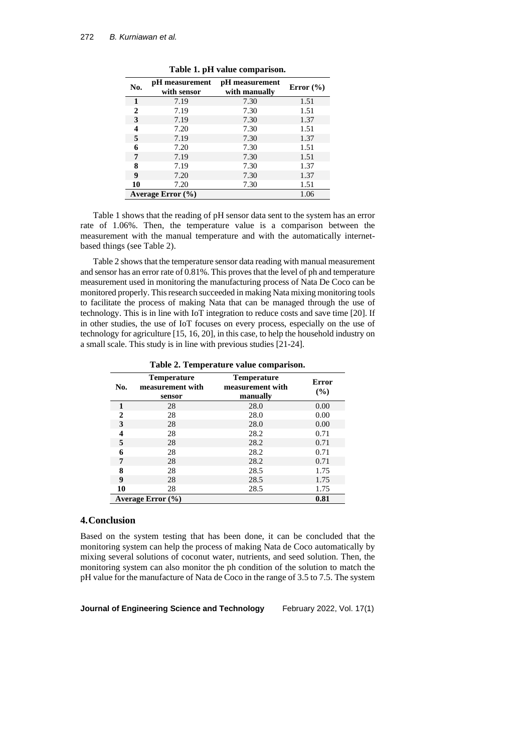| No.                   | pH measurement<br>with sensor | pH measurement<br>with manually | Error $(\% )$ |
|-----------------------|-------------------------------|---------------------------------|---------------|
| 1                     | 7.19                          | 7.30                            | 1.51          |
| $\mathbf{2}$          | 7.19                          | 7.30                            | 1.51          |
| 3                     | 7.19                          | 7.30                            | 1.37          |
| 4                     | 7.20                          | 7.30                            | 1.51          |
| 5                     | 7.19                          | 7.30                            | 1.37          |
| 6                     | 7.20                          | 7.30                            | 1.51          |
| 7                     | 7.19                          | 7.30                            | 1.51          |
| 8                     | 7.19                          | 7.30                            | 1.37          |
| 9                     | 7.20                          | 7.30                            | 1.37          |
| 10                    | 7.20                          | 7.30                            | 1.51          |
| Average Error $(\% )$ |                               |                                 | 1.06          |

**Table 1. pH value comparison.**

Table 1 shows that the reading of pH sensor data sent to the system has an error rate of 1.06%. Then, the temperature value is a comparison between the measurement with the manual temperature and with the automatically internetbased things (see Table 2).

Table 2 shows that the temperature sensor data reading with manual measurement and sensor has an error rate of 0.81%. This proves that the level of ph and temperature measurement used in monitoring the manufacturing process of Nata De Coco can be monitored properly. This research succeeded in making Nata mixing monitoring tools to facilitate the process of making Nata that can be managed through the use of technology. This is in line with IoT integration to reduce costs and save time [20]. If in other studies, the use of IoT focuses on every process, especially on the use of technology for agriculture [15, 16, 20], in this case, to help the household industry on a small scale. This study is in line with previous studies [21-24].

**Table 2. Temperature value comparison.**

| No.                   | <b>Temperature</b><br>measurement with<br>sensor | <b>Temperature</b><br>measurement with<br>manually | Error<br>(%) |
|-----------------------|--------------------------------------------------|----------------------------------------------------|--------------|
| 1                     | 28                                               | 28.0                                               | 0.00         |
| $\mathbf{2}$          | 28                                               | 28.0                                               | 0.00         |
| 3                     | 28                                               | 28.0                                               | 0.00         |
| 4                     | 28                                               | 28.2                                               | 0.71         |
| 5                     | 28                                               | 28.2                                               | 0.71         |
| 6                     | 28                                               | 28.2                                               | 0.71         |
| 7                     | 28                                               | 28.2                                               | 0.71         |
| 8                     | 28                                               | 28.5                                               | 1.75         |
| 9                     | 28                                               | 28.5                                               | 1.75         |
| 10                    | 28                                               | 28.5                                               | 1.75         |
| Average Error $(\% )$ | 0.81                                             |                                                    |              |

### **4.Conclusion**

Based on the system testing that has been done, it can be concluded that the monitoring system can help the process of making Nata de Coco automatically by mixing several solutions of coconut water, nutrients, and seed solution. Then, the monitoring system can also monitor the ph condition of the solution to match the pH value for the manufacture of Nata de Coco in the range of 3.5 to 7.5. The system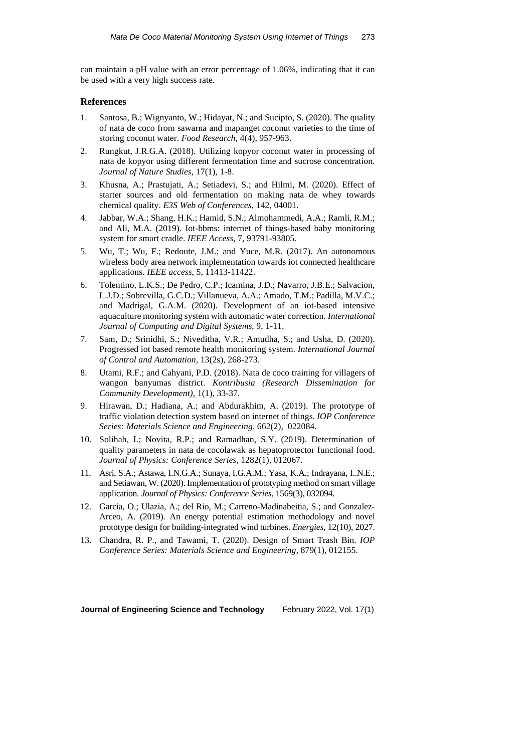can maintain a pH value with an error percentage of 1.06%, indicating that it can be used with a very high success rate.

### **References**

- 1. Santosa, B.; Wignyanto, W.; Hidayat, N.; and Sucipto, S. (2020). The quality of nata de coco from sawarna and mapanget coconut varieties to the time of storing coconut water. *Food Research*, 4(4), 957-963.
- 2. Rungkut, J.R.G.A. (2018). Utilizing kopyor coconut water in processing of nata de kopyor using different fermentation time and sucrose concentration. *Journal of Nature Studies*, 17(1), 1-8.
- 3. Khusna, A.; Prastujati, A.; Setiadevi, S.; and Hilmi, M. (2020). Effect of starter sources and old fermentation on making nata de whey towards chemical quality. *E3S Web of Conferences*, 142, 04001.
- 4. Jabbar, W.A.; Shang, H.K.; Hamid, S.N.; Almohammedi, A.A.; Ramli, R.M.; and Ali, M.A. (2019). Iot-bbms: internet of things-based baby monitoring system for smart cradle. *IEEE Access*, 7, 93791-93805.
- 5. Wu, T.; Wu, F.; Redoute, J.M.; and Yuce, M.R. (2017). An autonomous wireless body area network implementation towards iot connected healthcare applications. *IEEE access*, 5, 11413-11422.
- 6. Tolentino, L.K.S.; De Pedro, C.P.; Icamina, J.D.; Navarro, J.B.E.; Salvacion, L.J.D.; Sobrevilla, G.C.D.; Villanueva, A.A.; Amado, T.M.; Padilla, M.V.C.; and Madrigal, G.A.M. (2020). Development of an iot-based intensive aquaculture monitoring system with automatic water correction. *International Journal of Computing and Digital Systems*, 9, 1-11.
- 7. Sam, D.; Srinidhi, S.; Niveditha, V.R.; Amudha, S.; and Usha, D. (2020). Progressed iot based remote health monitoring system. *International Journal of Control and Automation*, 13(2s), 268-273.
- 8. Utami, R.F.; and Cahyani, P.D. (2018). Nata de coco training for villagers of wangon banyumas district. *Kontribusia (Research Dissemination for Community Development)*, 1(1), 33-37.
- 9. Hirawan, D.; Hadiana, A.; and Abdurakhim, A. (2019). The prototype of traffic violation detection system based on internet of things. *IOP Conference Series: Materials Science and Engineering,* 662(2), 022084.
- 10. Solihah, I.; Novita, R.P.; and Ramadhan, S.Y. (2019). Determination of quality parameters in nata de cocolawak as hepatoprotector functional food. *Journal of Physics: Conference Series,* 1282(1), 012067.
- 11. Asri, S.A.; Astawa, I.N.G.A.; Sunaya, I.G.A.M.; Yasa, K.A.; Indrayana, I..N.E.; and Setiawan, W. (2020). Implementation of prototyping method on smart village application. *Journal of Physics: Conference Series,* 1569(3), 032094.
- 12. Garcia, O.; Ulazia, A.; del Rio, M.; Carreno-Madinabeitia, S.; and Gonzalez-Arceo, A. (2019). An energy potential estimation methodology and novel prototype design for building-integrated wind turbines. *Energies*, 12(10), 2027.
- 13. Chandra, R. P., and Tawami, T. (2020). Design of Smart Trash Bin. *IOP Conference Series: Materials Science and Engineering*, 879(1), 012155.